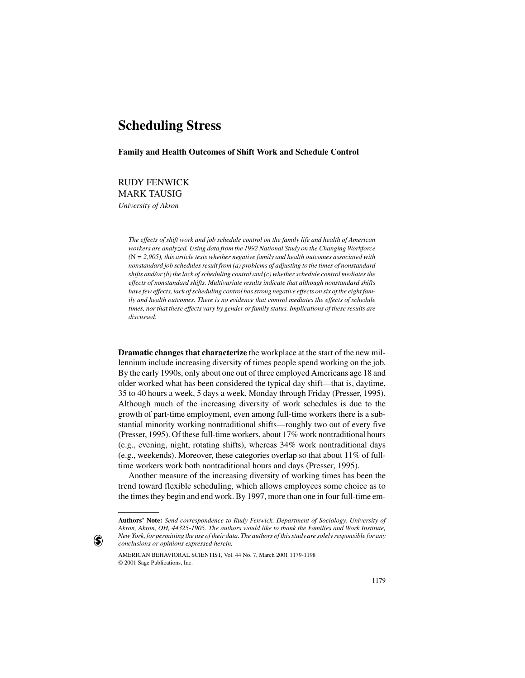# **Scheduling Stress**

**Family and Health Outcomes of Shift Work and Schedule Control**

RUDY FENWICK MARK TAUSIG *University of Akron*

> *The effects of shift work and job schedule control on the family life and health of American workers are analyzed. Using data from the 1992 National Study on the Changing Workforce (*N *= 2,905), this article tests whether negative family and health outcomes associated with nonstandard job schedules result from (a) problems of adjusting to the times of nonstandard shifts and/or (b) the lack of scheduling control and (c) whether schedule control mediates the effects of nonstandard shifts. Multivariate results indicate that although nonstandard shifts have few effects, lack of scheduling control has strong negative effects on six of the eight family and health outcomes. There is no evidence that control mediates the effects of schedule times, nor that these effects vary by gender or family status. Implications of these results are discussed.*

**Dramatic changes that characterize** the workplace at the start of the new millennium include increasing diversity of times people spend working on the job. By the early 1990s, only about one out of three employed Americans age 18 and older worked what has been considered the typical day shift—that is, daytime, 35 to 40 hours a week, 5 days a week, Monday through Friday (Presser, 1995). Although much of the increasing diversity of work schedules is due to the growth of part-time employment, even among full-time workers there is a substantial minority working nontraditional shifts—roughly two out of every five (Presser, 1995). Of these full-time workers, about 17% work nontraditional hours (e.g., evening, night, rotating shifts), whereas 34% work nontraditional days (e.g., weekends). Moreover, these categories overlap so that about 11% of fulltime workers work both nontraditional hours and days (Presser, 1995).

Another measure of the increasing diversity of working times has been the trend toward flexible scheduling, which allows employees some choice as to the times they begin and end work. By 1997, more than one in four full-time em-

 $\left( \bullet \right)$ 

**Authors' Note:** *Send correspondence to Rudy Fenwick, Department of Sociology, University of Akron, Akron, OH, 44325-1905. The authors would like to thank the Families and Work Institute, New York, for permitting the use of their data. The authors of this study are solely responsible for any conclusions or opinions expressed herein.*

AMERICAN BEHAVIORAL SCIENTIST, Vol. 44 No. 7, March 2001 1179-1198 © 2001 Sage Publications, Inc.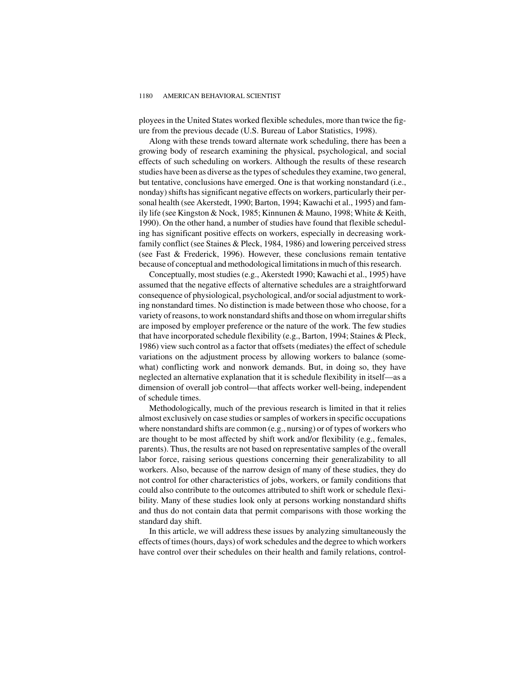ployees in the United States worked flexible schedules, more than twice the figure from the previous decade (U.S. Bureau of Labor Statistics, 1998).

Along with these trends toward alternate work scheduling, there has been a growing body of research examining the physical, psychological, and social effects of such scheduling on workers. Although the results of these research studies have been as diverse as the types of schedules they examine, two general, but tentative, conclusions have emerged. One is that working nonstandard (i.e., nonday) shifts has significant negative effects on workers, particularly their personal health (see Akerstedt, 1990; Barton, 1994; Kawachi et al., 1995) and family life (see Kingston & Nock, 1985; Kinnunen & Mauno, 1998; White & Keith, 1990). On the other hand, a number of studies have found that flexible scheduling has significant positive effects on workers, especially in decreasing workfamily conflict (see Staines & Pleck, 1984, 1986) and lowering perceived stress (see Fast & Frederick, 1996). However, these conclusions remain tentative because of conceptual and methodological limitations in much of this research.

Conceptually, most studies (e.g., Akerstedt 1990; Kawachi et al., 1995) have assumed that the negative effects of alternative schedules are a straightforward consequence of physiological, psychological, and/or social adjustment to working nonstandard times. No distinction is made between those who choose, for a variety of reasons, to work nonstandard shifts and those on whom irregular shifts are imposed by employer preference or the nature of the work. The few studies that have incorporated schedule flexibility (e.g., Barton, 1994; Staines & Pleck, 1986) view such control as a factor that offsets (mediates) the effect of schedule variations on the adjustment process by allowing workers to balance (somewhat) conflicting work and nonwork demands. But, in doing so, they have neglected an alternative explanation that it is schedule flexibility in itself—as a dimension of overall job control—that affects worker well-being, independent of schedule times.

Methodologically, much of the previous research is limited in that it relies almost exclusively on case studies or samples of workers in specific occupations where nonstandard shifts are common (e.g., nursing) or of types of workers who are thought to be most affected by shift work and/or flexibility (e.g., females, parents). Thus, the results are not based on representative samples of the overall labor force, raising serious questions concerning their generalizability to all workers. Also, because of the narrow design of many of these studies, they do not control for other characteristics of jobs, workers, or family conditions that could also contribute to the outcomes attributed to shift work or schedule flexibility. Many of these studies look only at persons working nonstandard shifts and thus do not contain data that permit comparisons with those working the standard day shift.

In this article, we will address these issues by analyzing simultaneously the effects of times (hours, days) of work schedules and the degree to which workers have control over their schedules on their health and family relations, control-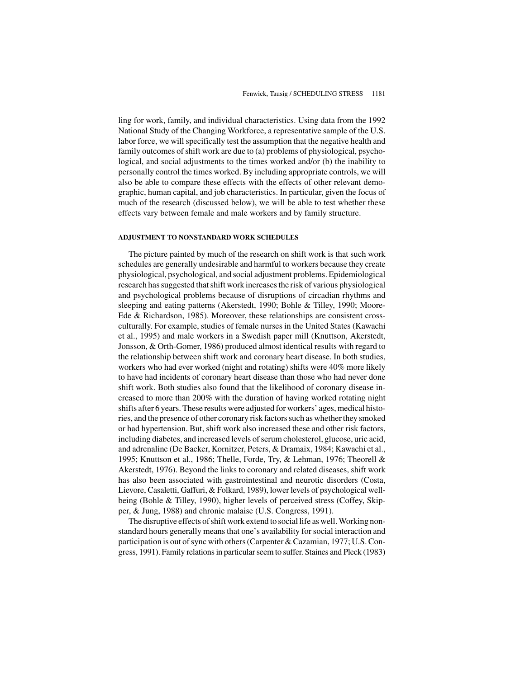ling for work, family, and individual characteristics. Using data from the 1992 National Study of the Changing Workforce, a representative sample of the U.S. labor force, we will specifically test the assumption that the negative health and family outcomes of shift work are due to (a) problems of physiological, psychological, and social adjustments to the times worked and/or (b) the inability to personally control the times worked. By including appropriate controls, we will also be able to compare these effects with the effects of other relevant demographic, human capital, and job characteristics. In particular, given the focus of much of the research (discussed below), we will be able to test whether these effects vary between female and male workers and by family structure.

#### **ADJUSTMENT TO NONSTANDARD WORK SCHEDULES**

The picture painted by much of the research on shift work is that such work schedules are generally undesirable and harmful to workers because they create physiological, psychological, and social adjustment problems. Epidemiological research has suggested that shift work increases the risk of various physiological and psychological problems because of disruptions of circadian rhythms and sleeping and eating patterns (Akerstedt, 1990; Bohle & Tilley, 1990; Moore-Ede & Richardson, 1985). Moreover, these relationships are consistent crossculturally. For example, studies of female nurses in the United States (Kawachi et al., 1995) and male workers in a Swedish paper mill (Knuttson, Akerstedt, Jonsson, & Orth-Gomer, 1986) produced almost identical results with regard to the relationship between shift work and coronary heart disease. In both studies, workers who had ever worked (night and rotating) shifts were 40% more likely to have had incidents of coronary heart disease than those who had never done shift work. Both studies also found that the likelihood of coronary disease increased to more than 200% with the duration of having worked rotating night shifts after 6 years. These results were adjusted for workers' ages, medical histories, and the presence of other coronary risk factors such as whether they smoked or had hypertension. But, shift work also increased these and other risk factors, including diabetes, and increased levels of serum cholesterol, glucose, uric acid, and adrenaline (De Backer, Kornitzer, Peters, & Dramaix, 1984; Kawachi et al., 1995; Knuttson et al., 1986; Thelle, Forde, Try, & Lehman, 1976; Theorell & Akerstedt, 1976). Beyond the links to coronary and related diseases, shift work has also been associated with gastrointestinal and neurotic disorders (Costa, Lievore, Casaletti, Gaffuri, & Folkard, 1989), lower levels of psychological wellbeing (Bohle & Tilley, 1990), higher levels of perceived stress (Coffey, Skipper, & Jung, 1988) and chronic malaise (U.S. Congress, 1991).

The disruptive effects of shift work extend to social life as well. Working nonstandard hours generally means that one's availability for social interaction and participation is out of sync with others (Carpenter & Cazamian, 1977; U.S. Congress, 1991). Family relations in particular seem to suffer. Staines and Pleck (1983)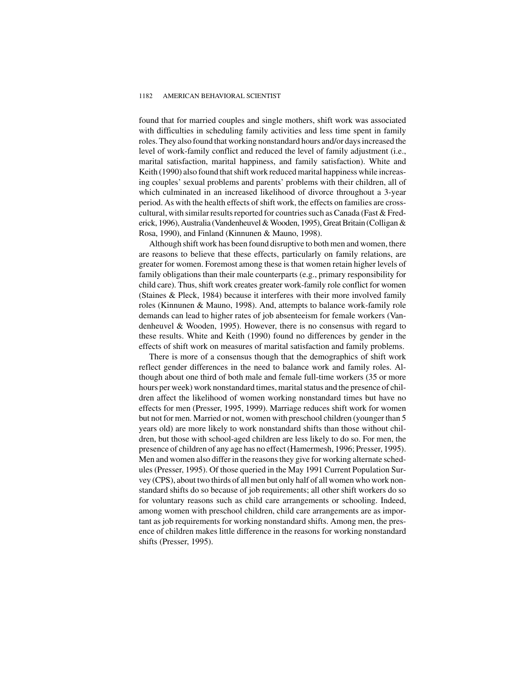#### 1182 AMERICAN BEHAVIORAL SCIENTIST

found that for married couples and single mothers, shift work was associated with difficulties in scheduling family activities and less time spent in family roles. They also found that working nonstandard hours and/or days increased the level of work-family conflict and reduced the level of family adjustment (i.e., marital satisfaction, marital happiness, and family satisfaction). White and Keith (1990) also found that shift work reduced marital happiness while increasing couples' sexual problems and parents' problems with their children, all of which culminated in an increased likelihood of divorce throughout a 3-year period. As with the health effects of shift work, the effects on families are crosscultural, with similar results reported for countries such as Canada (Fast & Frederick, 1996), Australia (Vandenheuvel & Wooden, 1995), Great Britain (Colligan & Rosa, 1990), and Finland (Kinnunen & Mauno, 1998).

Although shift work has been found disruptive to both men and women, there are reasons to believe that these effects, particularly on family relations, are greater for women. Foremost among these is that women retain higher levels of family obligations than their male counterparts (e.g., primary responsibility for child care). Thus, shift work creates greater work-family role conflict for women (Staines & Pleck, 1984) because it interferes with their more involved family roles (Kinnunen & Mauno, 1998). And, attempts to balance work-family role demands can lead to higher rates of job absenteeism for female workers (Vandenheuvel & Wooden, 1995). However, there is no consensus with regard to these results. White and Keith (1990) found no differences by gender in the effects of shift work on measures of marital satisfaction and family problems.

There is more of a consensus though that the demographics of shift work reflect gender differences in the need to balance work and family roles. Although about one third of both male and female full-time workers (35 or more hours per week) work nonstandard times, marital status and the presence of children affect the likelihood of women working nonstandard times but have no effects for men (Presser, 1995, 1999). Marriage reduces shift work for women but not for men. Married or not, women with preschool children (younger than 5 years old) are more likely to work nonstandard shifts than those without children, but those with school-aged children are less likely to do so. For men, the presence of children of any age has no effect (Hamermesh, 1996; Presser, 1995). Men and women also differ in the reasons they give for working alternate schedules (Presser, 1995). Of those queried in the May 1991 Current Population Survey (CPS), about two thirds of all men but only half of all women who work nonstandard shifts do so because of job requirements; all other shift workers do so for voluntary reasons such as child care arrangements or schooling. Indeed, among women with preschool children, child care arrangements are as important as job requirements for working nonstandard shifts. Among men, the presence of children makes little difference in the reasons for working nonstandard shifts (Presser, 1995).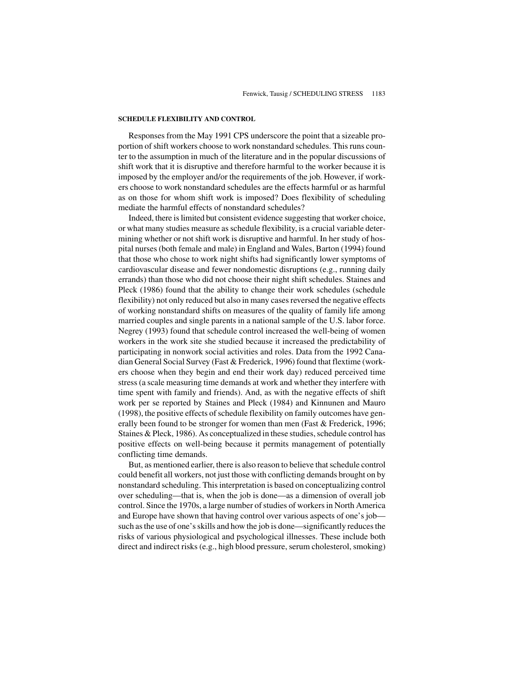#### **SCHEDULE FLEXIBILITY AND CONTROL**

Responses from the May 1991 CPS underscore the point that a sizeable proportion of shift workers choose to work nonstandard schedules. This runs counter to the assumption in much of the literature and in the popular discussions of shift work that it is disruptive and therefore harmful to the worker because it is imposed by the employer and/or the requirements of the job. However, if workers choose to work nonstandard schedules are the effects harmful or as harmful as on those for whom shift work is imposed? Does flexibility of scheduling mediate the harmful effects of nonstandard schedules?

Indeed, there is limited but consistent evidence suggesting that worker choice, or what many studies measure as schedule flexibility, is a crucial variable determining whether or not shift work is disruptive and harmful. In her study of hospital nurses (both female and male) in England and Wales, Barton (1994) found that those who chose to work night shifts had significantly lower symptoms of cardiovascular disease and fewer nondomestic disruptions (e.g., running daily errands) than those who did not choose their night shift schedules. Staines and Pleck (1986) found that the ability to change their work schedules (schedule flexibility) not only reduced but also in many cases reversed the negative effects of working nonstandard shifts on measures of the quality of family life among married couples and single parents in a national sample of the U.S. labor force. Negrey (1993) found that schedule control increased the well-being of women workers in the work site she studied because it increased the predictability of participating in nonwork social activities and roles. Data from the 1992 Canadian General Social Survey (Fast & Frederick, 1996) found that flextime (workers choose when they begin and end their work day) reduced perceived time stress (a scale measuring time demands at work and whether they interfere with time spent with family and friends). And, as with the negative effects of shift work per se reported by Staines and Pleck (1984) and Kinnunen and Mauro (1998), the positive effects of schedule flexibility on family outcomes have generally been found to be stronger for women than men (Fast & Frederick, 1996; Staines & Pleck, 1986). As conceptualized in these studies, schedule control has positive effects on well-being because it permits management of potentially conflicting time demands.

But, as mentioned earlier, there is also reason to believe that schedule control could benefit all workers, not just those with conflicting demands brought on by nonstandard scheduling. This interpretation is based on conceptualizing control over scheduling—that is, when the job is done—as a dimension of overall job control. Since the 1970s, a large number of studies of workers in North America and Europe have shown that having control over various aspects of one's job such as the use of one's skills and how the job is done—significantly reduces the risks of various physiological and psychological illnesses. These include both direct and indirect risks (e.g., high blood pressure, serum cholesterol, smoking)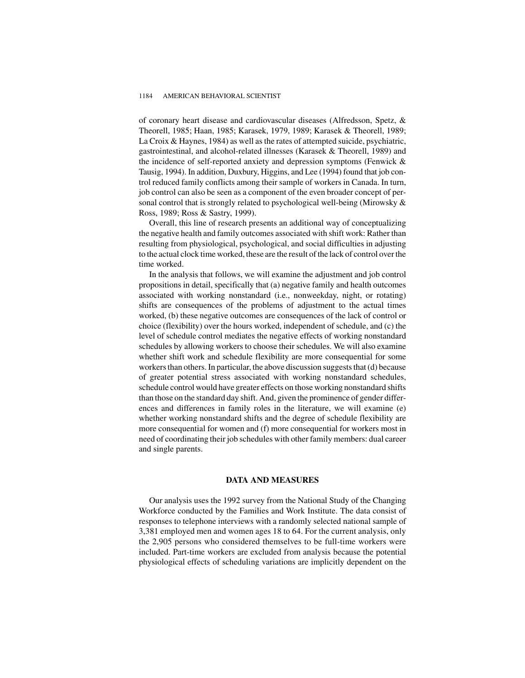#### 1184 AMERICAN BEHAVIORAL SCIENTIST

of coronary heart disease and cardiovascular diseases (Alfredsson, Spetz, & Theorell, 1985; Haan, 1985; Karasek, 1979, 1989; Karasek & Theorell, 1989; La Croix & Haynes, 1984) as well as the rates of attempted suicide, psychiatric, gastrointestinal, and alcohol-related illnesses (Karasek & Theorell, 1989) and the incidence of self-reported anxiety and depression symptoms (Fenwick & Tausig, 1994). In addition, Duxbury, Higgins, and Lee (1994) found that job control reduced family conflicts among their sample of workers in Canada. In turn, job control can also be seen as a component of the even broader concept of personal control that is strongly related to psychological well-being (Mirowsky & Ross, 1989; Ross & Sastry, 1999).

Overall, this line of research presents an additional way of conceptualizing the negative health and family outcomes associated with shift work: Rather than resulting from physiological, psychological, and social difficulties in adjusting to the actual clock time worked, these are the result of the lack of control over the time worked.

In the analysis that follows, we will examine the adjustment and job control propositions in detail, specifically that (a) negative family and health outcomes associated with working nonstandard (i.e., nonweekday, night, or rotating) shifts are consequences of the problems of adjustment to the actual times worked, (b) these negative outcomes are consequences of the lack of control or choice (flexibility) over the hours worked, independent of schedule, and (c) the level of schedule control mediates the negative effects of working nonstandard schedules by allowing workers to choose their schedules. We will also examine whether shift work and schedule flexibility are more consequential for some workers than others. In particular, the above discussion suggests that (d) because of greater potential stress associated with working nonstandard schedules, schedule control would have greater effects on those working nonstandard shifts than those on the standard day shift. And, given the prominence of gender differences and differences in family roles in the literature, we will examine (e) whether working nonstandard shifts and the degree of schedule flexibility are more consequential for women and (f) more consequential for workers most in need of coordinating their job schedules with other family members: dual career and single parents.

### **DATA AND MEASURES**

Our analysis uses the 1992 survey from the National Study of the Changing Workforce conducted by the Families and Work Institute. The data consist of responses to telephone interviews with a randomly selected national sample of 3,381 employed men and women ages 18 to 64. For the current analysis, only the 2,905 persons who considered themselves to be full-time workers were included. Part-time workers are excluded from analysis because the potential physiological effects of scheduling variations are implicitly dependent on the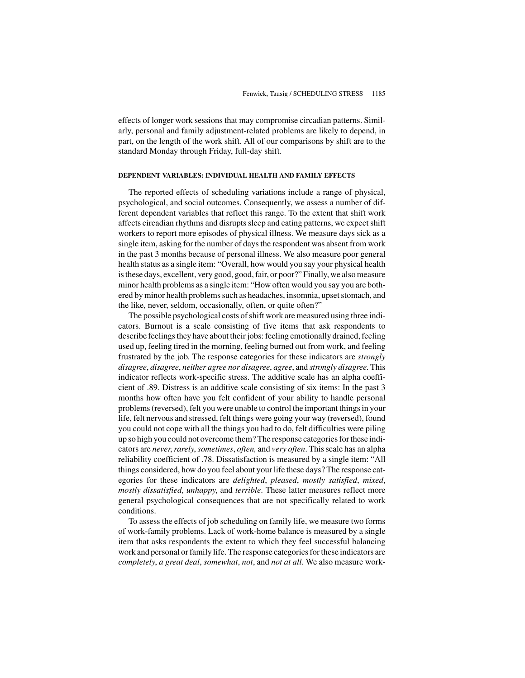effects of longer work sessions that may compromise circadian patterns. Similarly, personal and family adjustment-related problems are likely to depend, in part, on the length of the work shift. All of our comparisons by shift are to the standard Monday through Friday, full-day shift.

#### **DEPENDENT VARIABLES: INDIVIDUAL HEALTH AND FAMILY EFFECTS**

The reported effects of scheduling variations include a range of physical, psychological, and social outcomes. Consequently, we assess a number of different dependent variables that reflect this range. To the extent that shift work affects circadian rhythms and disrupts sleep and eating patterns, we expect shift workers to report more episodes of physical illness. We measure days sick as a single item, asking for the number of days the respondent was absent from work in the past 3 months because of personal illness. We also measure poor general health status as a single item: "Overall, how would you say your physical health is these days, excellent, very good, good, fair, or poor?" Finally, we also measure minor health problems as a single item: "How often would you say you are bothered by minor health problems such as headaches, insomnia, upset stomach, and the like, never, seldom, occasionally, often, or quite often?"

The possible psychological costs of shift work are measured using three indicators. Burnout is a scale consisting of five items that ask respondents to describe feelings they have about their jobs: feeling emotionally drained, feeling used up, feeling tired in the morning, feeling burned out from work, and feeling frustrated by the job. The response categories for these indicators are *strongly disagree*, *disagree*, *neither agree nor disagree*, *agree*, and *strongly disagree*. This indicator reflects work-specific stress. The additive scale has an alpha coefficient of .89. Distress is an additive scale consisting of six items: In the past 3 months how often have you felt confident of your ability to handle personal problems (reversed), felt you were unable to control the important things in your life, felt nervous and stressed, felt things were going your way (reversed), found you could not cope with all the things you had to do, felt difficulties were piling up so high you could not overcome them? The response categories for these indicators are *never*,*rarely*,*sometimes*, *often,* and *very often*. This scale has an alpha reliability coefficient of .78. Dissatisfaction is measured by a single item: "All things considered, how do you feel about your life these days? The response categories for these indicators are *delighted*, *pleased*, *mostly satisfied*, *mixed*, *mostly dissatisfied*, *unhappy*, and *terrible*. These latter measures reflect more general psychological consequences that are not specifically related to work conditions.

To assess the effects of job scheduling on family life, we measure two forms of work-family problems. Lack of work-home balance is measured by a single item that asks respondents the extent to which they feel successful balancing work and personal or family life. The response categories for these indicators are *completely*, *a great deal*, *somewhat*, *not*, and *not at all*. We also measure work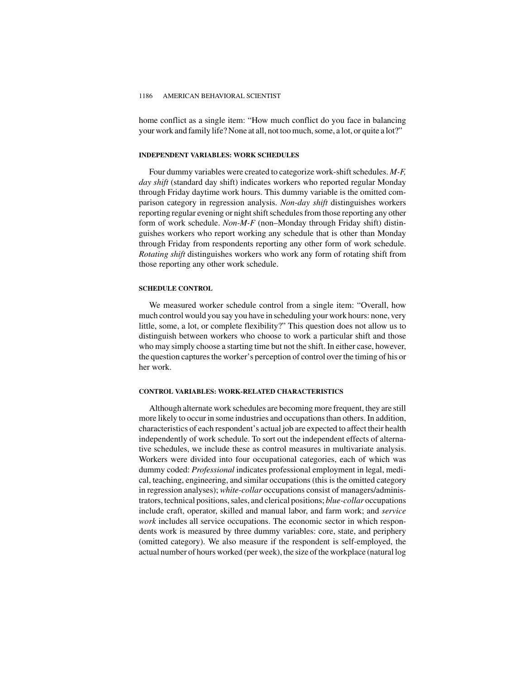home conflict as a single item: "How much conflict do you face in balancing your work and family life? None at all, not too much, some, a lot, or quite a lot?"

### **INDEPENDENT VARIABLES: WORK SCHEDULES**

Four dummy variables were created to categorize work-shift schedules. *M-F, day shift* (standard day shift) indicates workers who reported regular Monday through Friday daytime work hours. This dummy variable is the omitted comparison category in regression analysis. *Non-day shift* distinguishes workers reporting regular evening or night shift schedules from those reporting any other form of work schedule. *Non-M-F* (non–Monday through Friday shift) distinguishes workers who report working any schedule that is other than Monday through Friday from respondents reporting any other form of work schedule. *Rotating shift* distinguishes workers who work any form of rotating shift from those reporting any other work schedule.

### **SCHEDULE CONTROL**

We measured worker schedule control from a single item: "Overall, how much control would you say you have in scheduling your work hours: none, very little, some, a lot, or complete flexibility?" This question does not allow us to distinguish between workers who choose to work a particular shift and those who may simply choose a starting time but not the shift. In either case, however, the question captures the worker's perception of control over the timing of his or her work.

## **CONTROL VARIABLES: WORK-RELATED CHARACTERISTICS**

Although alternate work schedules are becoming more frequent, they are still more likely to occur in some industries and occupations than others. In addition, characteristics of each respondent's actual job are expected to affect their health independently of work schedule. To sort out the independent effects of alternative schedules, we include these as control measures in multivariate analysis. Workers were divided into four occupational categories, each of which was dummy coded: *Professional* indicates professional employment in legal, medical, teaching, engineering, and similar occupations (this is the omitted category in regression analyses); *white-collar* occupations consist of managers/administrators, technical positions, sales, and clerical positions; *blue-collar* occupations include craft, operator, skilled and manual labor, and farm work; and *service work* includes all service occupations. The economic sector in which respondents work is measured by three dummy variables: core, state, and periphery (omitted category). We also measure if the respondent is self-employed, the actual number of hours worked (per week), the size of the workplace (natural log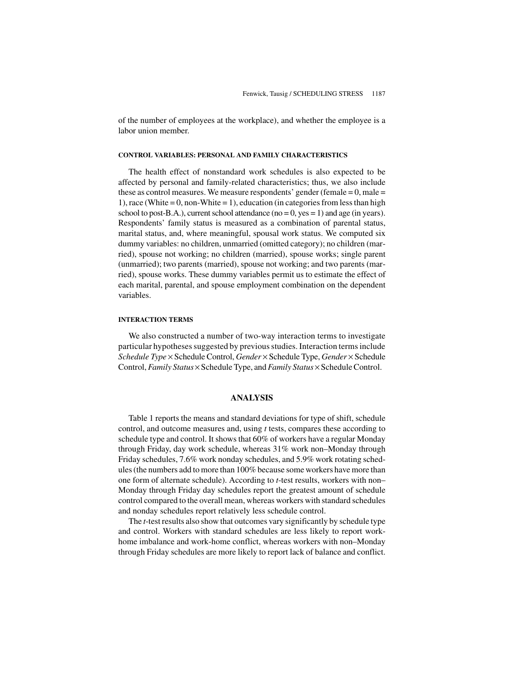of the number of employees at the workplace), and whether the employee is a labor union member.

#### **CONTROL VARIABLES: PERSONAL AND FAMILY CHARACTERISTICS**

The health effect of nonstandard work schedules is also expected to be affected by personal and family-related characteristics; thus, we also include these as control measures. We measure respondents' gender (female  $= 0$ , male  $=$ 1), race (White =  $0$ , non-White =  $1$ ), education (in categories from less than high school to post-B.A.), current school attendance ( $no = 0$ ,  $yes = 1$ ) and age (in years). Respondents' family status is measured as a combination of parental status, marital status, and, where meaningful, spousal work status. We computed six dummy variables: no children, unmarried (omitted category); no children (married), spouse not working; no children (married), spouse works; single parent (unmarried); two parents (married), spouse not working; and two parents (married), spouse works. These dummy variables permit us to estimate the effect of each marital, parental, and spouse employment combination on the dependent variables.

### **INTERACTION TERMS**

We also constructed a number of two-way interaction terms to investigate particular hypotheses suggested by previous studies. Interaction terms include *Schedule Type* × Schedule Control, *Gender* × Schedule Type, *Gender* × Schedule Control,*Family Status* × Schedule Type, and*Family Status* × Schedule Control.

### **ANALYSIS**

Table 1 reports the means and standard deviations for type of shift, schedule control, and outcome measures and, using *t* tests, compares these according to schedule type and control. It shows that 60% of workers have a regular Monday through Friday, day work schedule, whereas 31% work non–Monday through Friday schedules, 7.6% work nonday schedules, and 5.9% work rotating schedules (the numbers add to more than 100% because some workers have more than one form of alternate schedule). According to *t*-test results, workers with non– Monday through Friday day schedules report the greatest amount of schedule control compared to the overall mean, whereas workers with standard schedules and nonday schedules report relatively less schedule control.

The *t*-test results also show that outcomes vary significantly by schedule type and control. Workers with standard schedules are less likely to report workhome imbalance and work-home conflict, whereas workers with non–Monday through Friday schedules are more likely to report lack of balance and conflict.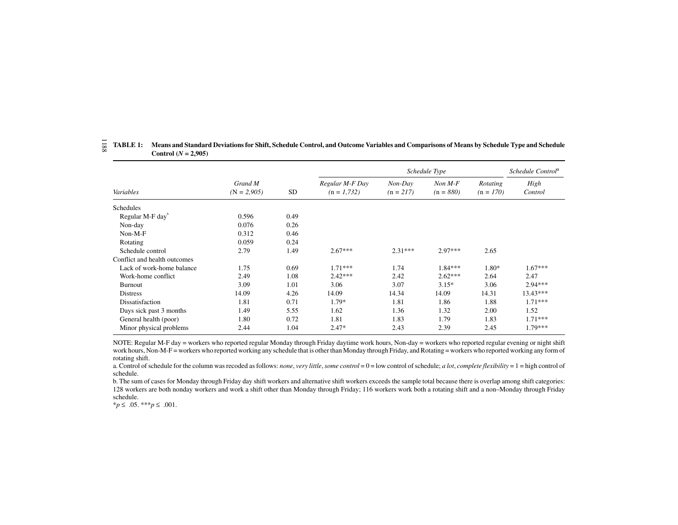|                              |                          |      |                                  | Schedule Control <sup>a</sup> |                          |                         |                 |
|------------------------------|--------------------------|------|----------------------------------|-------------------------------|--------------------------|-------------------------|-----------------|
| Variables                    | Grand M<br>$(N = 2,905)$ | SD   | Regular M-F Day<br>$(n = 1,732)$ | Non-Day<br>$(n = 217)$        | $Non M-F$<br>$(n = 880)$ | Rotating<br>$(n = 170)$ | High<br>Control |
| <b>Schedules</b>             |                          |      |                                  |                               |                          |                         |                 |
| Regular M-F day <sup>b</sup> | 0.596                    | 0.49 |                                  |                               |                          |                         |                 |
| Non-day                      | 0.076                    | 0.26 |                                  |                               |                          |                         |                 |
| Non-M-F                      | 0.312                    | 0.46 |                                  |                               |                          |                         |                 |
| Rotating                     | 0.059                    | 0.24 |                                  |                               |                          |                         |                 |
| Schedule control             | 2.79                     | 1.49 | $2.67***$                        | $2.31***$                     | $2.97***$                | 2.65                    |                 |
| Conflict and health outcomes |                          |      |                                  |                               |                          |                         |                 |
| Lack of work-home balance    | 1.75                     | 0.69 | $1.71***$                        | 1.74                          | $1.84***$                | 1.80*                   | $1.67***$       |
| Work-home conflict           | 2.49                     | 1.08 | $2.42***$                        | 2.42                          | $2.62***$                | 2.64                    | 2.47            |
| <b>Burnout</b>               | 3.09                     | 1.01 | 3.06                             | 3.07                          | $3.15*$                  | 3.06                    | $2.94***$       |
| <b>Distress</b>              | 14.09                    | 4.26 | 14.09                            | 14.34                         | 14.09                    | 14.31                   | $13.43***$      |
| Dissatisfaction              | 1.81                     | 0.71 | 1.79*                            | 1.81                          | 1.86                     | 1.88                    | $1.71***$       |
| Days sick past 3 months      | 1.49                     | 5.55 | 1.62                             | 1.36                          | 1.32                     | 2.00                    | 1.52            |
| General health (poor)        | 1.80                     | 0.72 | 1.81                             | 1.83                          | 1.79                     | 1.83                    | $1.71***$       |
| Minor physical problems      | 2.44                     | 1.04 | $2.47*$                          | 2.43                          | 2.39                     | 2.45                    | $1.79***$       |

#### TABLE 1: Means and Standard Deviations for Shift, Schedule Control, and Outcome Variables and Comparisons of Means by Schedule Type and Schedule **Control**  $(N = 2,905)$ 1188

NOTE: Regular M-F day <sup>=</sup> workers who reported regular Monday through Friday daytime work hours, Non-day <sup>=</sup> workers who reported regular evening or night shift work hours, Non-M-F = workers who reported working any schedule that is other than Monday through Friday, and Rotating = workers who reported working any form of rotating shift.

a. Control of schedule for the column was recoded as follows: none, very little, some control = 0 = low control of schedule; a lot, complete flexibility = 1 = high control of schedule.

b. The sum of cases for Monday through Friday day shift workers and alternative shift workers exceeds the sample total because there is overlap among shift categories: 128 workers are both nonday workers and work <sup>a</sup> shift other than Monday through Friday; 116 workers work both <sup>a</sup> rotating shift and <sup>a</sup> non–Monday through Friday schedule.

\**p* ≤ .05. \*\*\**p* ≤ .001.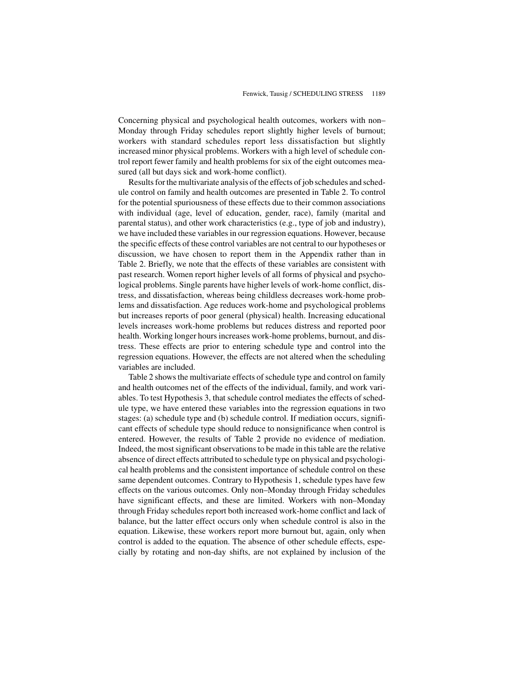Concerning physical and psychological health outcomes, workers with non– Monday through Friday schedules report slightly higher levels of burnout; workers with standard schedules report less dissatisfaction but slightly increased minor physical problems. Workers with a high level of schedule control report fewer family and health problems for six of the eight outcomes measured (all but days sick and work-home conflict).

Results for the multivariate analysis of the effects of job schedules and schedule control on family and health outcomes are presented in Table 2. To control for the potential spuriousness of these effects due to their common associations with individual (age, level of education, gender, race), family (marital and parental status), and other work characteristics (e.g., type of job and industry), we have included these variables in our regression equations. However, because the specific effects of these control variables are not central to our hypotheses or discussion, we have chosen to report them in the Appendix rather than in Table 2. Briefly, we note that the effects of these variables are consistent with past research. Women report higher levels of all forms of physical and psychological problems. Single parents have higher levels of work-home conflict, distress, and dissatisfaction, whereas being childless decreases work-home problems and dissatisfaction. Age reduces work-home and psychological problems but increases reports of poor general (physical) health. Increasing educational levels increases work-home problems but reduces distress and reported poor health. Working longer hours increases work-home problems, burnout, and distress. These effects are prior to entering schedule type and control into the regression equations. However, the effects are not altered when the scheduling variables are included.

Table 2 shows the multivariate effects of schedule type and control on family and health outcomes net of the effects of the individual, family, and work variables. To test Hypothesis 3, that schedule control mediates the effects of schedule type, we have entered these variables into the regression equations in two stages: (a) schedule type and (b) schedule control. If mediation occurs, significant effects of schedule type should reduce to nonsignificance when control is entered. However, the results of Table 2 provide no evidence of mediation. Indeed, the most significant observations to be made in this table are the relative absence of direct effects attributed to schedule type on physical and psychological health problems and the consistent importance of schedule control on these same dependent outcomes. Contrary to Hypothesis 1, schedule types have few effects on the various outcomes. Only non–Monday through Friday schedules have significant effects, and these are limited. Workers with non–Monday through Friday schedules report both increased work-home conflict and lack of balance, but the latter effect occurs only when schedule control is also in the equation. Likewise, these workers report more burnout but, again, only when control is added to the equation. The absence of other schedule effects, especially by rotating and non-day shifts, are not explained by inclusion of the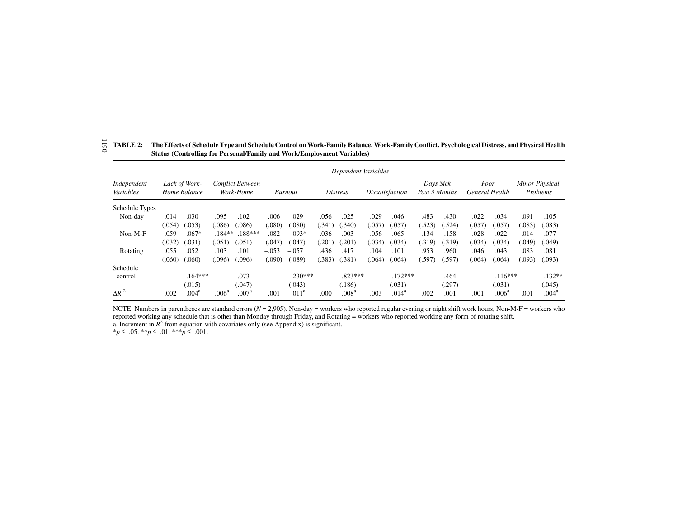|                          | Dependent Variables |                               |                   |                                      |         |                                   |         |                   |                                                      |                   |         |                        |         |                                   |         |                   |
|--------------------------|---------------------|-------------------------------|-------------------|--------------------------------------|---------|-----------------------------------|---------|-------------------|------------------------------------------------------|-------------------|---------|------------------------|---------|-----------------------------------|---------|-------------------|
| Independent<br>Variables |                     | Lack of Work-<br>Home Balance |                   | <b>Conflict Between</b><br>Work-Home |         | <b>Distress</b><br><b>Burnout</b> |         |                   | Days Sick<br>Past 3 Months<br><i>Dissatisfaction</i> |                   |         | Poor<br>General Health |         | <b>Minor Physical</b><br>Problems |         |                   |
| Schedule Types           |                     |                               |                   |                                      |         |                                   |         |                   |                                                      |                   |         |                        |         |                                   |         |                   |
| Non-day                  | $-.014$             | $-.030$                       | $-.095$           | $-.102$                              | $-.006$ | $-.029$                           | .056    | $-.025$           | $-.029$                                              | $-.046$           | $-.483$ | $-.430$                | $-.022$ | $-.034$                           | $-.091$ | $-.105$           |
|                          | (.054)              | (.053)                        | (.086)            | (.086)                               | (.080)  | (.080)                            | (.341)  | .340)             | (.057)                                               | (.057)            | (.523)  | (.524)                 | (.057)  | (.057)                            | (.083)  | (.083)            |
| $Non-M-F$                | .059                | $.067*$                       | $.184***$         | $.188***$                            | .082    | $.093*$                           | $-.036$ | .003              | .056                                                 | .065              | $-.134$ | $-.158$                | $-.028$ | $-.022$                           | $-.014$ | $-.077$           |
|                          | (.032)              | (.031)                        | (.051)            | (.051)                               | (.047   | (0.047)                           | .201)   | .201)             | (.034)                                               | (.034)            | (.319)  | (.319)                 | (.034)  | (.034)                            | (049)   | (.049)            |
| Rotating                 | .055                | .052                          | .103              | .101                                 | $-.053$ | $-.057$                           | .436    | .417              | .104                                                 | .101              | .953    | .960                   | .046    | .043                              | .083    | .081              |
|                          | (.060)              | .060)                         | (.096)            | 096                                  | (.090)  | (.089)                            | (.383)  | .381)             | (.064)                                               | (.064)            | (.597)  | (.597)                 | (.064)  | 064)                              | (.093)  | (.093)            |
| Schedule                 |                     |                               |                   |                                      |         |                                   |         |                   |                                                      |                   |         |                        |         |                                   |         |                   |
| control                  |                     | $-.164***$                    |                   | $-.073$                              |         | $-.230***$                        |         | $-.823***$        |                                                      | $-.172***$        |         | .464                   |         | $-.116***$                        |         | $-.132**$         |
|                          |                     | (.015)                        |                   | (.047)                               |         | (.043)                            |         | (.186)            |                                                      | (.031)            |         | (.297)                 |         | (.031)                            |         | (.045)            |
| $\Delta R^2$             | .002                | $.004^\mathrm{a}$             | .006 <sup>a</sup> | .007 <sup>a</sup>                    | .001    | .011 <sup>a</sup>                 | .000    | .008 <sup>a</sup> | .003                                                 | .014 <sup>a</sup> | $-.002$ | .001                   | .001    | .006 <sup>a</sup>                 | .001    | .004 <sup>a</sup> |

|  | $\overline{\varphi}$ TABLE 2: The Effects of Schedule Type and Schedule Control on Work-Family Balance, Work-Family Conflict, Psychological Distress, and Physical Health<br><b>Status (Controlling for Personal/Family and Work/Employment Variables)</b> |
|--|------------------------------------------------------------------------------------------------------------------------------------------------------------------------------------------------------------------------------------------------------------|
|  |                                                                                                                                                                                                                                                            |

NOTE: Numbers in parentheses are standard errors (*N* <sup>=</sup> 2,905). Non-day <sup>=</sup> workers who reported regular evening or night shift work hours, Non-M-F <sup>=</sup> workers who reported working any schedule that is other than Monday through Friday, and Rotating = workers who reported working any form of rotating shift. a. Increment in  $\bar{R}^2$  from equation with covariates only (see Appendix) is significant.

\**p* ≤ .05. \*\**p* ≤ .01. \*\*\**p* ≤ .001.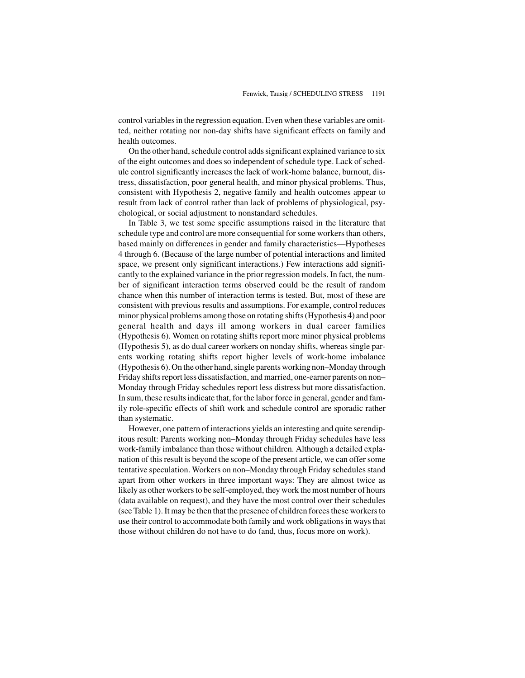control variables in the regression equation. Even when these variables are omitted, neither rotating nor non-day shifts have significant effects on family and health outcomes.

On the other hand, schedule control adds significant explained variance to six of the eight outcomes and does so independent of schedule type. Lack of schedule control significantly increases the lack of work-home balance, burnout, distress, dissatisfaction, poor general health, and minor physical problems. Thus, consistent with Hypothesis 2, negative family and health outcomes appear to result from lack of control rather than lack of problems of physiological, psychological, or social adjustment to nonstandard schedules.

In Table 3, we test some specific assumptions raised in the literature that schedule type and control are more consequential for some workers than others, based mainly on differences in gender and family characteristics—Hypotheses 4 through 6. (Because of the large number of potential interactions and limited space, we present only significant interactions.) Few interactions add significantly to the explained variance in the prior regression models. In fact, the number of significant interaction terms observed could be the result of random chance when this number of interaction terms is tested. But, most of these are consistent with previous results and assumptions. For example, control reduces minor physical problems among those on rotating shifts (Hypothesis 4) and poor general health and days ill among workers in dual career families (Hypothesis 6). Women on rotating shifts report more minor physical problems (Hypothesis 5), as do dual career workers on nonday shifts, whereas single parents working rotating shifts report higher levels of work-home imbalance (Hypothesis 6). On the other hand, single parents working non–Monday through Friday shifts report less dissatisfaction, and married, one-earner parents on non– Monday through Friday schedules report less distress but more dissatisfaction. In sum, these results indicate that, for the labor force in general, gender and family role-specific effects of shift work and schedule control are sporadic rather than systematic.

However, one pattern of interactions yields an interesting and quite serendipitous result: Parents working non–Monday through Friday schedules have less work-family imbalance than those without children. Although a detailed explanation of this result is beyond the scope of the present article, we can offer some tentative speculation. Workers on non–Monday through Friday schedules stand apart from other workers in three important ways: They are almost twice as likely as other workers to be self-employed, they work the most number of hours (data available on request), and they have the most control over their schedules (see Table 1). It may be then that the presence of children forces these workers to use their control to accommodate both family and work obligations in ways that those without children do not have to do (and, thus, focus more on work).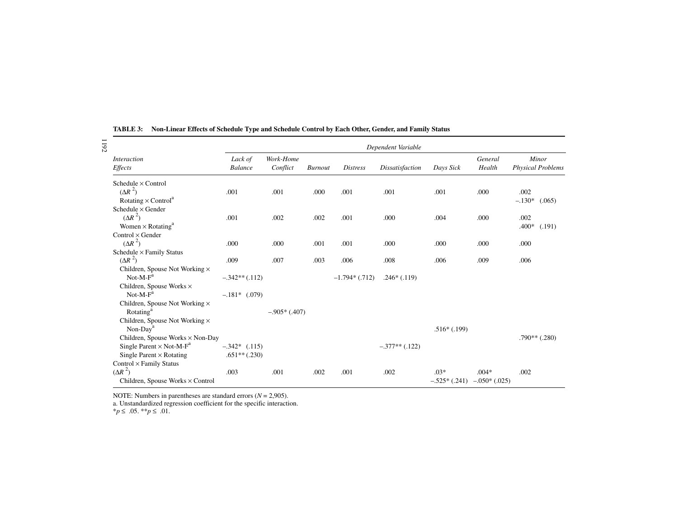| 1192 |                                             |                   |                |                |                  | Dependent Variable     |                |                  |                          |
|------|---------------------------------------------|-------------------|----------------|----------------|------------------|------------------------|----------------|------------------|--------------------------|
|      | <i>Interaction</i>                          | Lack of           | Work-Home      |                |                  |                        |                | General          | Minor                    |
|      | Effects                                     | <b>Balance</b>    | Conflict       | <b>Burnout</b> | <b>Distress</b>  | <b>Dissatisfaction</b> | Days Sick      | Health           | <b>Physical Problems</b> |
|      | Schedule $\times$ Control                   |                   |                |                |                  |                        |                |                  |                          |
|      | $(\Delta R^2)$                              | .001              | .001           | .000           | .001             | .001                   | .001           | .000             | .002                     |
|      | Rotating $\times$ Control <sup>a</sup>      |                   |                |                |                  |                        |                |                  | $-.130*$<br>(.065)       |
|      | Schedule $\times$ Gender                    |                   |                |                |                  |                        |                |                  |                          |
|      | $(\Delta R^2)$                              | .001              | .002           | .002           | .001             | .000                   | .004           | .000             | .002                     |
|      | Women $\times$ Rotating <sup>a</sup>        |                   |                |                |                  |                        |                |                  | $.400*$<br>(.191)        |
|      | $Control \times Gender$                     |                   |                |                |                  |                        |                |                  |                          |
|      | $(\Delta R^2)$                              | .000              | .000           | .001           | .001             | .000                   | .000           | .000             | .000                     |
|      | Schedule $\times$ Family Status             |                   |                |                |                  |                        |                |                  |                          |
|      | $(\Delta R^2)$                              | .009              | .007           | .003           | .006             | .008                   | .006           | .009             | .006                     |
|      | Children, Spouse Not Working $\times$       |                   |                |                |                  |                        |                |                  |                          |
|      | $Not-M-Fa$                                  | $-.342**(.112)$   |                |                | $-1.794*(0.712)$ | $.246*(.119)$          |                |                  |                          |
|      | Children, Spouse Works $\times$             |                   |                |                |                  |                        |                |                  |                          |
|      | $Not-M-Fa$                                  | $-.181*$ (.079)   |                |                |                  |                        |                |                  |                          |
|      | Children, Spouse Not Working $\times$       |                   |                |                |                  |                        |                |                  |                          |
|      | Rotating <sup>a</sup>                       |                   | $-.905*(.407)$ |                |                  |                        |                |                  |                          |
|      | Children, Spouse Not Working $\times$       |                   |                |                |                  |                        |                |                  |                          |
|      | Non-Day <sup>a</sup>                        |                   |                |                |                  |                        | $.516*(.199)$  |                  |                          |
|      | Children, Spouse Works × Non-Day            |                   |                |                |                  |                        |                |                  | $.790**$ (.280)          |
|      | Single Parent $\times$ Not-M-F <sup>a</sup> | $-.342*$ $(.115)$ |                |                |                  | $-.377**(.122)$        |                |                  |                          |
|      | Single Parent $\times$ Rotating             | $.651**(.230)$    |                |                |                  |                        |                |                  |                          |
|      | Control × Family Status                     |                   |                |                |                  |                        |                |                  |                          |
|      | $(\Delta R^2)$                              | .003              | .001           | .002           | .001             | .002                   | $.03*$         | $.004*$          | .002                     |
|      | Children, Spouse Works × Control            |                   |                |                |                  |                        | $-.525*(.241)$ | $-0.050*(0.025)$ |                          |

**TABLE 3: Non-Linear Effects of Schedule Type and Schedule Control by Each Other, Gender, and Family Status**

NOTE: Numbers in parentheses are standard errors (*N* = 2,905).

a. Unstandardized regression coefficient for the specific interaction.

\**p* ≤ .05. \*\**p* ≤ .01.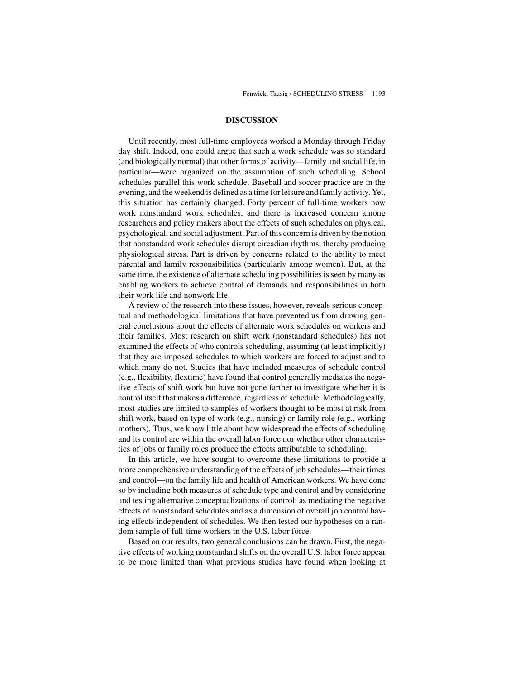### **DISCUSSION**

Until recently, most full-time employees worked a Monday through Friday day shift. Indeed, one could argue that such a work schedule was so standard (and biologically normal) that other forms of activity—family and social life, in particular—were organized on the assumption of such scheduling. School schedules parallel this work schedule. Baseball and soccer practice are in the evening, and the weekend is defined as a time for leisure and family activity. Yet, this situation has certainly changed. Forty percent of full-time workers now work nonstandard work schedules, and there is increased concern among researchers and policy makers about the effects of such schedules on physical, psychological, and social adjustment. Part of this concern is driven by the notion that nonstandard work schedules disrupt circadian rhythms, thereby producing physiological stress. Part is driven by concerns related to the ability to meet parental and family responsibilities (particularly among women). But, at the same time, the existence of alternate scheduling possibilities is seen by many as enabling workers to achieve control of demands and responsibilities in both their work life and nonwork life.

A review of the research into these issues, however, reveals serious conceptual and methodological limitations that have prevented us from drawing general conclusions about the effects of alternate work schedules on workers and their families. Most research on shift work (nonstandard schedules) has not examined the effects of who controls scheduling, assuming (at least implicitly) that they are imposed schedules to which workers are forced to adjust and to which many do not. Studies that have included measures of schedule control (e.g., flexibility, flextime) have found that control generally mediates the negative effects of shift work but have not gone farther to investigate whether it is control itself that makes a difference, regardless of schedule. Methodologically, most studies are limited to samples of workers thought to be most at risk from shift work, based on type of work (e.g., nursing) or family role (e.g., working mothers). Thus, we know little about how widespread the effects of scheduling and its control are within the overall labor force nor whether other characteristics of jobs or family roles produce the effects attributable to scheduling.

In this article, we have sought to overcome these limitations to provide a more comprehensive understanding of the effects of job schedules—their times and control—on the family life and health of American workers. We have done so by including both measures of schedule type and control and by considering and testing alternative conceptualizations of control: as mediating the negative effects of nonstandard schedules and as a dimension of overall job control having effects independent of schedules. We then tested our hypotheses on a random sample of full-time workers in the U.S. labor force.

Based on our results, two general conclusions can be drawn. First, the negative effects of working nonstandard shifts on the overall U.S. labor force appear to be more limited than what previous studies have found when looking at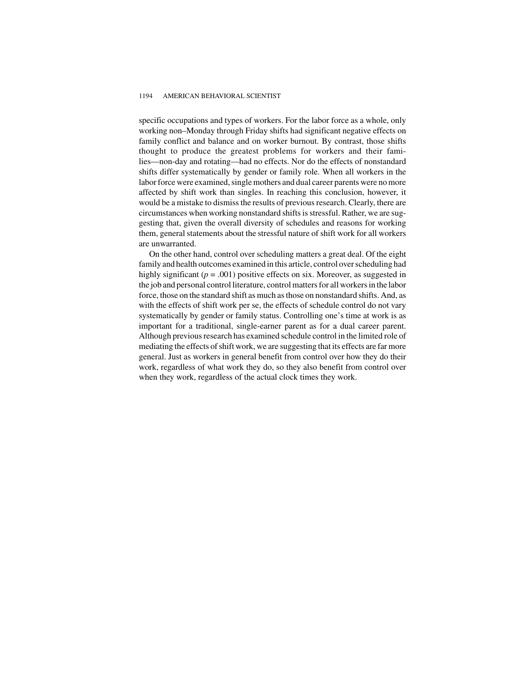#### 1194 AMERICAN BEHAVIORAL SCIENTIST

specific occupations and types of workers. For the labor force as a whole, only working non–Monday through Friday shifts had significant negative effects on family conflict and balance and on worker burnout. By contrast, those shifts thought to produce the greatest problems for workers and their families—non-day and rotating—had no effects. Nor do the effects of nonstandard shifts differ systematically by gender or family role. When all workers in the labor force were examined, single mothers and dual career parents were no more affected by shift work than singles. In reaching this conclusion, however, it would be a mistake to dismiss the results of previous research. Clearly, there are circumstances when working nonstandard shifts is stressful. Rather, we are suggesting that, given the overall diversity of schedules and reasons for working them, general statements about the stressful nature of shift work for all workers are unwarranted.

On the other hand, control over scheduling matters a great deal. Of the eight family and health outcomes examined in this article, control over scheduling had highly significant  $(p = .001)$  positive effects on six. Moreover, as suggested in the job and personal control literature, control matters for all workers in the labor force, those on the standard shift as much as those on nonstandard shifts. And, as with the effects of shift work per se, the effects of schedule control do not vary systematically by gender or family status. Controlling one's time at work is as important for a traditional, single-earner parent as for a dual career parent. Although previous research has examined schedule control in the limited role of mediating the effects of shift work, we are suggesting that its effects are far more general. Just as workers in general benefit from control over how they do their work, regardless of what work they do, so they also benefit from control over when they work, regardless of the actual clock times they work.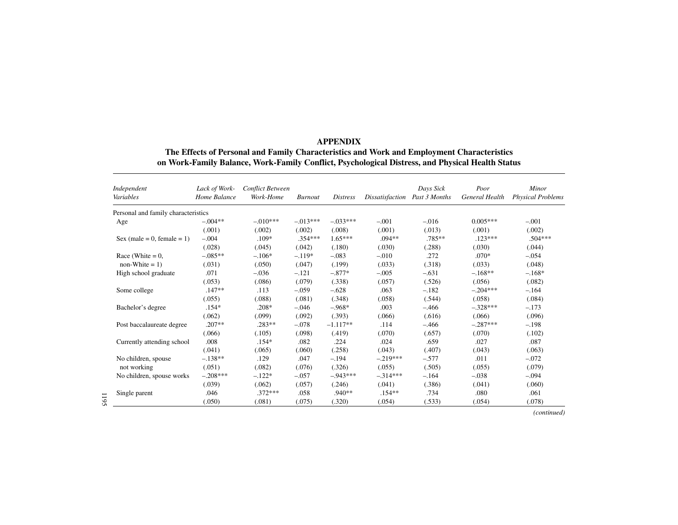| <b>APPENDIX</b>                                                                                  |
|--------------------------------------------------------------------------------------------------|
| The Effects of Personal and Family Characteristics and Work and Employment Characteristics       |
| on Work-Family Balance, Work-Family Conflict, Psychological Distress, and Physical Health Status |

| Independent<br>Variables            | Lack of Work-<br>Home Balance | <b>Conflict Between</b><br>Work-Home | <b>Burnout</b> | <i>Distress</i> | Dissatisfaction | Days Sick<br>Past 3 Months | Poor<br><b>General Health</b> | Minor<br><b>Physical Problems</b> |
|-------------------------------------|-------------------------------|--------------------------------------|----------------|-----------------|-----------------|----------------------------|-------------------------------|-----------------------------------|
| Personal and family characteristics |                               |                                      |                |                 |                 |                            |                               |                                   |
| Age                                 | $-.004**$                     | $-.010***$                           | $-.013***$     | $-.033***$      | $-.001$         | $-.016$                    | $0.005***$                    | $-.001$                           |
|                                     | (.001)                        | (.002)                               | (.002)         | (.008)          | (.001)          | (.013)                     | (.001)                        | (.002)                            |
| Sex (male = 0, female = 1)          | $-.004$                       | $.109*$                              | $.354***$      | $1.65***$       | $.094**$        | $.785***$                  | $.123***$                     | $.504***$                         |
|                                     | (.028)                        | (.045)                               | (.042)         | (.180)          | (.030)          | (.288)                     | (.030)                        | (.044)                            |
| Race (White $= 0$ ,                 | $-085**$                      | $-.106*$                             | $-.119*$       | $-.083$         | $-.010$         | .272                       | $.070*$                       | $-.054$                           |
| $non-White = 1)$                    | (.031)                        | (.050)                               | (.047)         | (.199)          | (.033)          | (.318)                     | (.033)                        | (.048)                            |
| High school graduate                | .071                          | $-.036$                              | $-.121$        | $-.877*$        | $-.005$         | $-.631$                    | $-.168**$                     | $-.168*$                          |
|                                     | (.053)                        | (.086)                               | (.079)         | (.338)          | (.057)          | (.526)                     | (.056)                        | (.082)                            |
| Some college                        | $.147**$                      | .113                                 | $-.059$        | $-.628$         | .063            | $-.182$                    | $-.204***$                    | $-.164$                           |
|                                     | (.055)                        | (.088)                               | (.081)         | (.348)          | (.058)          | (.544)                     | (.058)                        | (.084)                            |
| Bachelor's degree                   | $.154*$                       | $.208*$                              | $-.046$        | $-.968*$        | .003            | $-.466$                    | $-.328***$                    | $-.173$                           |
|                                     | (.062)                        | (.099)                               | (.092)         | (.393)          | (.066)          | (.616)                     | (.066)                        | (.096)                            |
| Post baccalaureate degree           | $.207**$                      | $.283**$                             | $-.078$        | $-1.117**$      | .114            | $-.466$                    | $-.287***$                    | $-.198$                           |
|                                     | (.066)                        | (.105)                               | (.098)         | (.419)          | (.070)          | (.657)                     | (.070)                        | (.102)                            |
| Currently attending school          | .008                          | $.154*$                              | .082           | .224            | .024            | .659                       | .027                          | .087                              |
|                                     | (.041)                        | (.065)                               | (.060)         | (.258)          | (.043)          | (.407)                     | (.043)                        | (.063)                            |
| No children, spouse                 | $-.138**$                     | .129                                 | .047           | $-.194$         | $-.219***$      | $-.577$                    | .011                          | $-.072$                           |
| not working                         | (.051)                        | (.082)                               | (.076)         | (.326)          | (.055)          | (.505)                     | (.055)                        | (.079)                            |
| No children, spouse works           | $-.208***$                    | $-.122*$                             | $-.057$        | $-943***$       | $-.314***$      | $-.164$                    | $-.038$                       | $-.094$                           |
|                                     | (.039)                        | (.062)                               | (.057)         | (.246)          | (.041)          | (.386)                     | (.041)                        | (.060)                            |
| Single parent                       | .046                          | $.372***$                            | .058           | $.940**$        | $.154**$        | .734                       | .080                          | .061                              |
|                                     | (.050)                        | (.081)                               | (.075)         | (.320)          | (.054)          | (.533)                     | (.054)                        | (.078)                            |

*(continued)*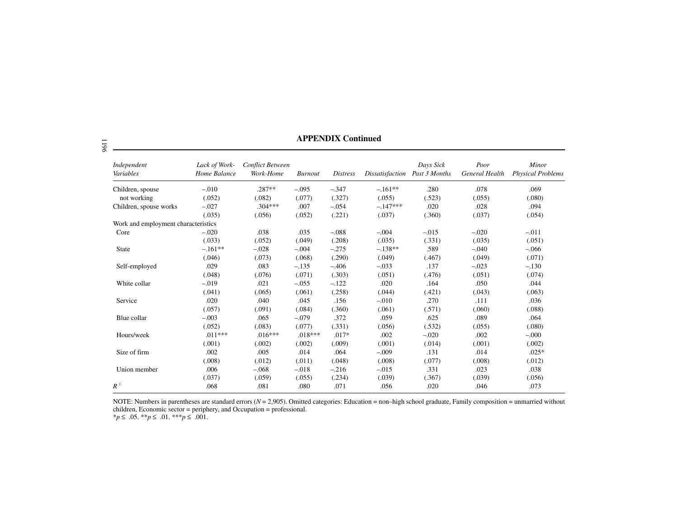| Independent<br>Variables            | Lack of Work-<br>Home Balance | <b>Conflict Between</b><br>Work-Home | <b>Burnout</b> | <i>Distress</i> | Dissatisfaction | Days Sick<br>Past 3 Months | Poor<br>General Health | Minor<br><b>Physical Problems</b> |
|-------------------------------------|-------------------------------|--------------------------------------|----------------|-----------------|-----------------|----------------------------|------------------------|-----------------------------------|
| Children, spouse                    | $-.010$                       | $.287**$                             | $-.095$        | $-.347$         | $-.161**$       | .280                       | .078                   | .069                              |
| not working                         | (.052)                        | (.082)                               | (.077)         | (.327)          | (.055)          | (.523)                     | (.055)                 | (.080)                            |
| Children, spouse works              | $-.027$                       | $.304***$                            | .007           | $-.054$         | $-.147***$      | .020                       | .028                   | .094                              |
|                                     | (.035)                        | (.056)                               | (.052)         | (.221)          | (.037)          | (.360)                     | (.037)                 | (.054)                            |
| Work and employment characteristics |                               |                                      |                |                 |                 |                            |                        |                                   |
| Core                                | $-.020$                       | .038                                 | .035           | $-.088$         | $-.004$         | $-.015$                    | $-.020$                | $-.011$                           |
|                                     | (.033)                        | (.052)                               | (.049)         | (.208)          | (.035)          | (.331)                     | (.035)                 | (.051)                            |
| <b>State</b>                        | $-.161**$                     | $-.028$                              | $-.004$        | $-.275$         | $-.138**$       | .589                       | $-.040$                | $-.066$                           |
|                                     | (.046)                        | (.073)                               | (.068)         | (.290)          | (.049)          | (.467)                     | (.049)                 | (.071)                            |
| Self-employed                       | .029                          | .083                                 | $-.135$        | $-.406$         | $-.033$         | .137                       | $-.023$                | $-.130$                           |
|                                     | (.048)                        | (.076)                               | (.071)         | (.303)          | (.051)          | (.476)                     | (.051)                 | (.074)                            |
| White collar                        | $-.019$                       | .021                                 | $-.055$        | $-.122$         | .020            | .164                       | .050                   | .044                              |
|                                     | (.041)                        | (.065)                               | (.061)         | (.258)          | (.044)          | (.421)                     | (.043)                 | (.063)                            |
| Service                             | .020                          | .040                                 | .045           | .156            | $-.010$         | .270                       | .111                   | .036                              |
|                                     | (.057)                        | (.091)                               | (.084)         | (.360)          | (.061)          | (.571)                     | (.060)                 | (.088)                            |
| Blue collar                         | $-.003$                       | .065                                 | $-.079$        | .372            | .059            | .625                       | .089                   | .064                              |
|                                     | (.052)                        | (.083)                               | (.077)         | (.331)          | (.056)          | (.532)                     | (.055)                 | (.080)                            |
| Hours/week                          | $.011***$                     | $.016***$                            | $.018***$      | $.017*$         | .002            | $-.020$                    | .002                   | $-.000$                           |
|                                     | (.001)                        | (.002)                               | (.002)         | (.009)          | (.001)          | (.014)                     | (.001)                 | (.002)                            |
| Size of firm                        | .002                          | .005                                 | .014           | .064            | $-.009$         | .131                       | .014                   | $.025*$                           |
|                                     | (.008)                        | (.012)                               | (.011)         | (.048)          | (.008)          | (.077)                     | (.008)                 | (.012)                            |
| Union member                        | .006                          | $-.068$                              | $-.018$        | $-.216$         | $-.015$         | .331                       | .023                   | .038                              |
|                                     | (.037)                        | (.059)                               | (.055)         | (.234)          | (.039)          | (.367)                     | (.039)                 | (.056)                            |
| $R^2$                               | .068                          | .081                                 | .080           | .071            | .056            | .020                       | .046                   | .073                              |

**APPENDIX Continued**

NOTE: Numbers in parentheses are standard errors (*N* <sup>=</sup> 2,905). Omitted categories: Education <sup>=</sup> non–high school graduate, Family composition <sup>=</sup> unmarried without children, Economic sector = periphery, and Occupation = professional.

\**p* ≤ .05. \*\**p* ≤ .01. \*\*\**p* ≤ .001.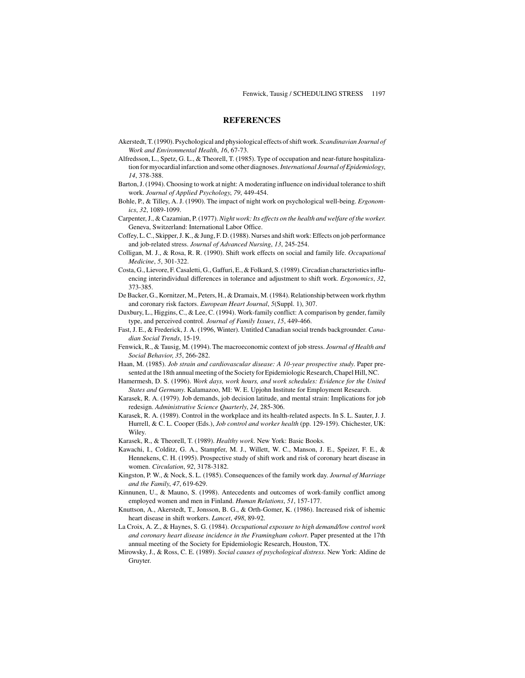### **REFERENCES**

- Akerstedt, T. (1990). Psychological and physiological effects of shift work. *Scandinavian Journal of Work and Environmental Health*, *16*, 67-73.
- Alfredsson, L., Spetz, G. L., & Theorell, T. (1985). Type of occupation and near-future hospitalization for myocardial infarction and some other diagnoses.*International Journal of Epidemiology*, *14*, 378-388.
- Barton, J. (1994). Choosing to work at night: A moderating influence on individual tolerance to shift work. *Journal of Applied Psychology*, *79*, 449-454.
- Bohle, P., & Tilley, A. J. (1990). The impact of night work on psychological well-being. *Ergonomics*, *32*, 1089-1099.
- Carpenter, J., & Cazamian, P. (1977). *Night work: Its effects on the health and welfare of the worker*. Geneva, Switzerland: International Labor Office.
- Coffey, L. C., Skipper, J. K., & Jung, F. D. (1988). Nurses and shift work: Effects on job performance and job-related stress. *Journal of Advanced Nursing*, *13*, 245-254.
- Colligan, M. J., & Rosa, R. R. (1990). Shift work effects on social and family life. *Occupational Medicine*, *5*, 301-322.
- Costa, G., Lievore, F. Casaletti, G., Gaffuri, E., & Folkard, S. (1989). Circadian characteristics influencing interindividual differences in tolerance and adjustment to shift work. *Ergonomics*, *32*, 373-385.
- De Backer, G., Kornitzer, M., Peters, H., & Dramaix, M. (1984). Relationship between work rhythm and coronary risk factors. *European Heart Journal*, *5*(Suppl. 1), 307.
- Duxbury, L., Higgins, C., & Lee, C. (1994). Work-family conflict: A comparison by gender, family type, and perceived control. *Journal of Family Issues*, *15*, 449-466.
- Fast, J. E., & Frederick, J. A. (1996, Winter). Untitled Canadian social trends backgrounder. *Canadian Social Trends*, 15-19.
- Fenwick, R., & Tausig, M. (1994). The macroeconomic context of job stress. *Journal of Health and Social Behavior*, *35*, 266-282.
- Haan, M. (1985). *Job strain and cardiovascular disease: A 10-year prospective study*. Paper presented at the 18th annual meeting of the Society for Epidemiologic Research, Chapel Hill, NC.
- Hamermesh, D. S. (1996). *Work days, work hours, and work schedules: Evidence for the United States and Germany*. Kalamazoo, MI: W. E. Upjohn Institute for Employment Research.
- Karasek, R. A. (1979). Job demands, job decision latitude, and mental strain: Implications for job redesign. *Administrative Science Quarterly*, *24*, 285-306.
- Karasek, R. A. (1989). Control in the workplace and its health-related aspects. In S. L. Sauter, J. J. Hurrell, & C. L. Cooper (Eds.), *Job control and worker health* (pp. 129-159). Chichester, UK: Wiley.
- Karasek, R., & Theorell, T. (1989). *Healthy work*. New York: Basic Books.
- Kawachi, I., Colditz, G. A., Stampfer, M. J., Willett, W. C., Manson, J. E., Speizer, F. E., & Hennekens, C. H. (1995). Prospective study of shift work and risk of coronary heart disease in women. *Circulation*, *92*, 3178-3182.
- Kingston, P. W., & Nock, S. L. (1985). Consequences of the family work day. *Journal of Marriage and the Family*, *47*, 619-629.
- Kinnunen, U., & Mauno, S. (1998). Antecedents and outcomes of work-family conflict among employed women and men in Finland. *Human Relations*, *51*, 157-177.
- Knuttson, A., Akerstedt, T., Jonsson, B. G., & Orth-Gomer, K. (1986). Increased risk of ishemic heart disease in shift workers. *Lancet*, *498*, 89-92.
- La Croix, A. Z., & Haynes, S. G. (1984). *Occupational exposure to high demand/low control work and coronary heart disease incidence in the Framingham cohort*. Paper presented at the 17th annual meeting of the Society for Epidemiologic Research, Houston, TX.
- Mirowsky, J., & Ross, C. E. (1989). *Social causes of psychological distress*. New York: Aldine de Gruyter.